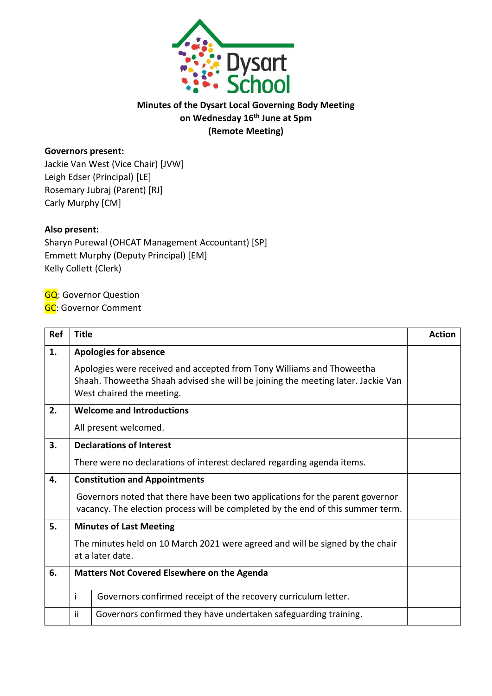

## **Minutes of the Dysart Local Governing Body Meeting on Wednesday 16th June at 5pm (Remote Meeting)**

## **Governors present:**

Jackie Van West (Vice Chair) [JVW] Leigh Edser (Principal) [LE] Rosemary Jubraj (Parent) [RJ] Carly Murphy [CM]

## **Also present:**

Sharyn Purewal (OHCAT Management Accountant) [SP] Emmett Murphy (Deputy Principal) [EM] Kelly Collett (Clerk)

**GQ**: Governor Question

**GC: Governor Comment** 

| Ref | <b>Title</b>                                       |                                                                                                                                                                                        | <b>Action</b> |
|-----|----------------------------------------------------|----------------------------------------------------------------------------------------------------------------------------------------------------------------------------------------|---------------|
| 1.  |                                                    | <b>Apologies for absence</b>                                                                                                                                                           |               |
|     |                                                    | Apologies were received and accepted from Tony Williams and Thoweetha<br>Shaah. Thoweetha Shaah advised she will be joining the meeting later. Jackie Van<br>West chaired the meeting. |               |
| 2.  |                                                    | <b>Welcome and Introductions</b>                                                                                                                                                       |               |
|     |                                                    | All present welcomed.                                                                                                                                                                  |               |
| 3.  |                                                    | <b>Declarations of Interest</b>                                                                                                                                                        |               |
|     |                                                    | There were no declarations of interest declared regarding agenda items.                                                                                                                |               |
| 4.  |                                                    | <b>Constitution and Appointments</b>                                                                                                                                                   |               |
|     |                                                    | Governors noted that there have been two applications for the parent governor<br>vacancy. The election process will be completed by the end of this summer term.                       |               |
| 5.  | <b>Minutes of Last Meeting</b>                     |                                                                                                                                                                                        |               |
|     |                                                    | The minutes held on 10 March 2021 were agreed and will be signed by the chair<br>at a later date.                                                                                      |               |
| 6.  | <b>Matters Not Covered Elsewhere on the Agenda</b> |                                                                                                                                                                                        |               |
|     | İ                                                  | Governors confirmed receipt of the recovery curriculum letter.                                                                                                                         |               |
|     | ii                                                 | Governors confirmed they have undertaken safeguarding training.                                                                                                                        |               |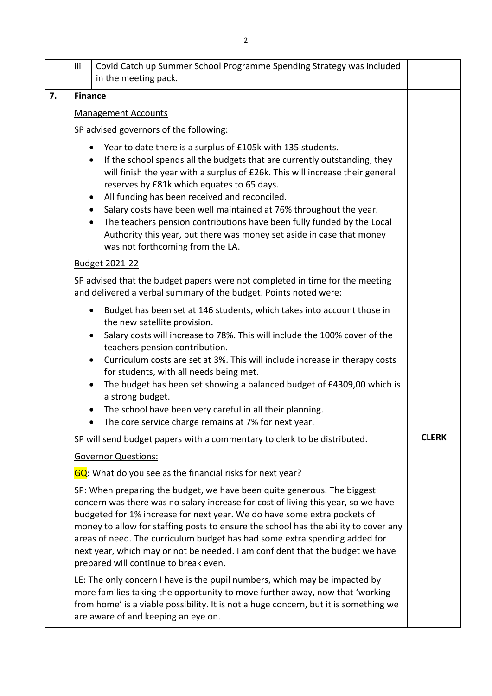|    | iii                                                                  | Covid Catch up Summer School Programme Spending Strategy was included<br>in the meeting pack.                                                                                                                                                                                                                                                                                                                                                                                                                                                                                                                                                          |              |
|----|----------------------------------------------------------------------|--------------------------------------------------------------------------------------------------------------------------------------------------------------------------------------------------------------------------------------------------------------------------------------------------------------------------------------------------------------------------------------------------------------------------------------------------------------------------------------------------------------------------------------------------------------------------------------------------------------------------------------------------------|--------------|
| 7. | <b>Finance</b>                                                       |                                                                                                                                                                                                                                                                                                                                                                                                                                                                                                                                                                                                                                                        |              |
|    | <b>Management Accounts</b><br>SP advised governors of the following: |                                                                                                                                                                                                                                                                                                                                                                                                                                                                                                                                                                                                                                                        |              |
|    |                                                                      |                                                                                                                                                                                                                                                                                                                                                                                                                                                                                                                                                                                                                                                        |              |
|    |                                                                      | Year to date there is a surplus of £105k with 135 students.<br>$\bullet$<br>If the school spends all the budgets that are currently outstanding, they<br>$\bullet$<br>will finish the year with a surplus of £26k. This will increase their general<br>reserves by £81k which equates to 65 days.<br>All funding has been received and reconciled.<br>$\bullet$<br>Salary costs have been well maintained at 76% throughout the year.<br>$\bullet$<br>The teachers pension contributions have been fully funded by the Local<br>$\bullet$<br>Authority this year, but there was money set aside in case that money<br>was not forthcoming from the LA. |              |
|    |                                                                      | Budget 2021-22                                                                                                                                                                                                                                                                                                                                                                                                                                                                                                                                                                                                                                         |              |
|    |                                                                      | SP advised that the budget papers were not completed in time for the meeting<br>and delivered a verbal summary of the budget. Points noted were:                                                                                                                                                                                                                                                                                                                                                                                                                                                                                                       |              |
|    |                                                                      | Budget has been set at 146 students, which takes into account those in<br>$\bullet$<br>the new satellite provision.<br>Salary costs will increase to 78%. This will include the 100% cover of the<br>$\bullet$<br>teachers pension contribution.<br>Curriculum costs are set at 3%. This will include increase in therapy costs<br>$\bullet$<br>for students, with all needs being met.<br>The budget has been set showing a balanced budget of £4309,00 which is<br>$\bullet$<br>a strong budget.<br>The school have been very careful in all their planning.<br>$\bullet$<br>The core service charge remains at 7% for next year.                    |              |
|    |                                                                      | SP will send budget papers with a commentary to clerk to be distributed.                                                                                                                                                                                                                                                                                                                                                                                                                                                                                                                                                                               | <b>CLERK</b> |
|    |                                                                      | <b>Governor Questions:</b>                                                                                                                                                                                                                                                                                                                                                                                                                                                                                                                                                                                                                             |              |
|    |                                                                      | GQ: What do you see as the financial risks for next year?                                                                                                                                                                                                                                                                                                                                                                                                                                                                                                                                                                                              |              |
|    |                                                                      | SP: When preparing the budget, we have been quite generous. The biggest<br>concern was there was no salary increase for cost of living this year, so we have<br>budgeted for 1% increase for next year. We do have some extra pockets of<br>money to allow for staffing posts to ensure the school has the ability to cover any<br>areas of need. The curriculum budget has had some extra spending added for<br>next year, which may or not be needed. I am confident that the budget we have<br>prepared will continue to break even.                                                                                                                |              |
|    |                                                                      | LE: The only concern I have is the pupil numbers, which may be impacted by<br>more families taking the opportunity to move further away, now that 'working<br>from home' is a viable possibility. It is not a huge concern, but it is something we<br>are aware of and keeping an eye on.                                                                                                                                                                                                                                                                                                                                                              |              |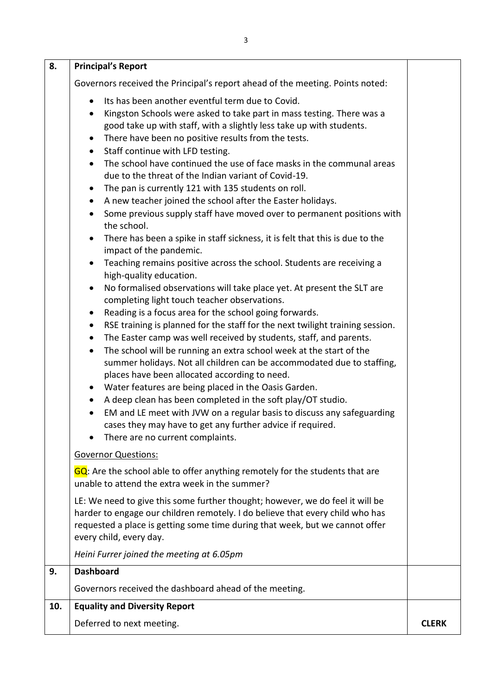| 8.  | <b>Principal's Report</b>                                                                                                                                                                                                                                                                                                                                                                                                                                                                                                                                                                                                                                                                                                                                                                                                                                                                                                                                                                                                                                                                                                                                                                                                                                                                                                                                                                                                                                                                                                                                                                                                                                                                                                                                         |              |
|-----|-------------------------------------------------------------------------------------------------------------------------------------------------------------------------------------------------------------------------------------------------------------------------------------------------------------------------------------------------------------------------------------------------------------------------------------------------------------------------------------------------------------------------------------------------------------------------------------------------------------------------------------------------------------------------------------------------------------------------------------------------------------------------------------------------------------------------------------------------------------------------------------------------------------------------------------------------------------------------------------------------------------------------------------------------------------------------------------------------------------------------------------------------------------------------------------------------------------------------------------------------------------------------------------------------------------------------------------------------------------------------------------------------------------------------------------------------------------------------------------------------------------------------------------------------------------------------------------------------------------------------------------------------------------------------------------------------------------------------------------------------------------------|--------------|
|     | Governors received the Principal's report ahead of the meeting. Points noted:                                                                                                                                                                                                                                                                                                                                                                                                                                                                                                                                                                                                                                                                                                                                                                                                                                                                                                                                                                                                                                                                                                                                                                                                                                                                                                                                                                                                                                                                                                                                                                                                                                                                                     |              |
|     | Its has been another eventful term due to Covid.<br>Kingston Schools were asked to take part in mass testing. There was a<br>good take up with staff, with a slightly less take up with students.<br>There have been no positive results from the tests.<br>Staff continue with LFD testing.<br>$\bullet$<br>The school have continued the use of face masks in the communal areas<br>due to the threat of the Indian variant of Covid-19.<br>The pan is currently 121 with 135 students on roll.<br>$\bullet$<br>A new teacher joined the school after the Easter holidays.<br>$\bullet$<br>Some previous supply staff have moved over to permanent positions with<br>the school.<br>There has been a spike in staff sickness, it is felt that this is due to the<br>impact of the pandemic.<br>Teaching remains positive across the school. Students are receiving a<br>high-quality education.<br>No formalised observations will take place yet. At present the SLT are<br>completing light touch teacher observations.<br>Reading is a focus area for the school going forwards.<br>RSE training is planned for the staff for the next twilight training session.<br>$\bullet$<br>The Easter camp was well received by students, staff, and parents.<br>$\bullet$<br>The school will be running an extra school week at the start of the<br>$\bullet$<br>summer holidays. Not all children can be accommodated due to staffing,<br>places have been allocated according to need.<br>Water features are being placed in the Oasis Garden.<br>$\bullet$<br>A deep clean has been completed in the soft play/OT studio.<br>EM and LE meet with JVW on a regular basis to discuss any safeguarding<br>cases they may have to get any further advice if required. |              |
|     | There are no current complaints.<br><b>Governor Questions:</b>                                                                                                                                                                                                                                                                                                                                                                                                                                                                                                                                                                                                                                                                                                                                                                                                                                                                                                                                                                                                                                                                                                                                                                                                                                                                                                                                                                                                                                                                                                                                                                                                                                                                                                    |              |
|     | GQ: Are the school able to offer anything remotely for the students that are<br>unable to attend the extra week in the summer?                                                                                                                                                                                                                                                                                                                                                                                                                                                                                                                                                                                                                                                                                                                                                                                                                                                                                                                                                                                                                                                                                                                                                                                                                                                                                                                                                                                                                                                                                                                                                                                                                                    |              |
|     | LE: We need to give this some further thought; however, we do feel it will be<br>harder to engage our children remotely. I do believe that every child who has<br>requested a place is getting some time during that week, but we cannot offer<br>every child, every day.                                                                                                                                                                                                                                                                                                                                                                                                                                                                                                                                                                                                                                                                                                                                                                                                                                                                                                                                                                                                                                                                                                                                                                                                                                                                                                                                                                                                                                                                                         |              |
|     | Heini Furrer joined the meeting at 6.05pm                                                                                                                                                                                                                                                                                                                                                                                                                                                                                                                                                                                                                                                                                                                                                                                                                                                                                                                                                                                                                                                                                                                                                                                                                                                                                                                                                                                                                                                                                                                                                                                                                                                                                                                         |              |
| 9.  | <b>Dashboard</b>                                                                                                                                                                                                                                                                                                                                                                                                                                                                                                                                                                                                                                                                                                                                                                                                                                                                                                                                                                                                                                                                                                                                                                                                                                                                                                                                                                                                                                                                                                                                                                                                                                                                                                                                                  |              |
|     | Governors received the dashboard ahead of the meeting.                                                                                                                                                                                                                                                                                                                                                                                                                                                                                                                                                                                                                                                                                                                                                                                                                                                                                                                                                                                                                                                                                                                                                                                                                                                                                                                                                                                                                                                                                                                                                                                                                                                                                                            |              |
| 10. | <b>Equality and Diversity Report</b>                                                                                                                                                                                                                                                                                                                                                                                                                                                                                                                                                                                                                                                                                                                                                                                                                                                                                                                                                                                                                                                                                                                                                                                                                                                                                                                                                                                                                                                                                                                                                                                                                                                                                                                              |              |
|     | Deferred to next meeting.                                                                                                                                                                                                                                                                                                                                                                                                                                                                                                                                                                                                                                                                                                                                                                                                                                                                                                                                                                                                                                                                                                                                                                                                                                                                                                                                                                                                                                                                                                                                                                                                                                                                                                                                         | <b>CLERK</b> |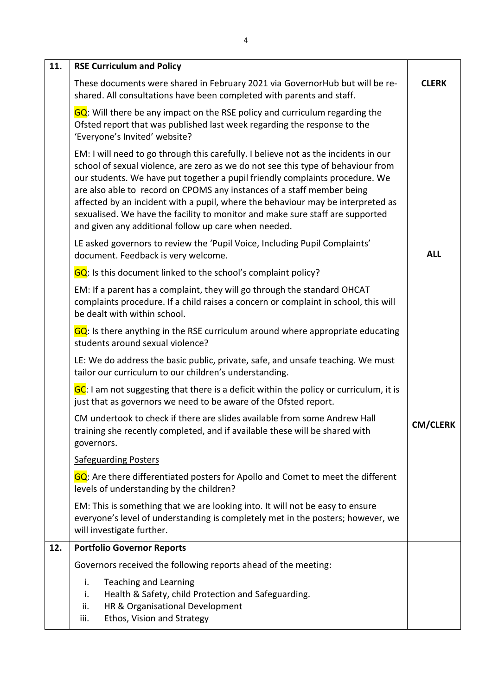| 11. | <b>RSE Curriculum and Policy</b>                                                                                                                                                                                                                                                                                                                                                                                                                                                                                                                              |                 |
|-----|---------------------------------------------------------------------------------------------------------------------------------------------------------------------------------------------------------------------------------------------------------------------------------------------------------------------------------------------------------------------------------------------------------------------------------------------------------------------------------------------------------------------------------------------------------------|-----------------|
|     | These documents were shared in February 2021 via GovernorHub but will be re-<br>shared. All consultations have been completed with parents and staff.                                                                                                                                                                                                                                                                                                                                                                                                         | <b>CLERK</b>    |
|     | GQ: Will there be any impact on the RSE policy and curriculum regarding the<br>Ofsted report that was published last week regarding the response to the<br>'Everyone's Invited' website?                                                                                                                                                                                                                                                                                                                                                                      |                 |
|     | EM: I will need to go through this carefully. I believe not as the incidents in our<br>school of sexual violence, are zero as we do not see this type of behaviour from<br>our students. We have put together a pupil friendly complaints procedure. We<br>are also able to record on CPOMS any instances of a staff member being<br>affected by an incident with a pupil, where the behaviour may be interpreted as<br>sexualised. We have the facility to monitor and make sure staff are supported<br>and given any additional follow up care when needed. |                 |
|     | LE asked governors to review the 'Pupil Voice, Including Pupil Complaints'<br>document. Feedback is very welcome.                                                                                                                                                                                                                                                                                                                                                                                                                                             | <b>ALL</b>      |
|     | GQ: Is this document linked to the school's complaint policy?                                                                                                                                                                                                                                                                                                                                                                                                                                                                                                 |                 |
|     | EM: If a parent has a complaint, they will go through the standard OHCAT<br>complaints procedure. If a child raises a concern or complaint in school, this will<br>be dealt with within school.                                                                                                                                                                                                                                                                                                                                                               |                 |
|     | GQ: Is there anything in the RSE curriculum around where appropriate educating<br>students around sexual violence?                                                                                                                                                                                                                                                                                                                                                                                                                                            |                 |
|     | LE: We do address the basic public, private, safe, and unsafe teaching. We must<br>tailor our curriculum to our children's understanding.                                                                                                                                                                                                                                                                                                                                                                                                                     |                 |
|     | GC: I am not suggesting that there is a deficit within the policy or curriculum, it is<br>just that as governors we need to be aware of the Ofsted report.                                                                                                                                                                                                                                                                                                                                                                                                    |                 |
|     | CM undertook to check if there are slides available from some Andrew Hall<br>training she recently completed, and if available these will be shared with<br>governors.                                                                                                                                                                                                                                                                                                                                                                                        | <b>CM/CLERK</b> |
|     | <b>Safeguarding Posters</b>                                                                                                                                                                                                                                                                                                                                                                                                                                                                                                                                   |                 |
|     | GQ: Are there differentiated posters for Apollo and Comet to meet the different<br>levels of understanding by the children?                                                                                                                                                                                                                                                                                                                                                                                                                                   |                 |
|     | EM: This is something that we are looking into. It will not be easy to ensure<br>everyone's level of understanding is completely met in the posters; however, we<br>will investigate further.                                                                                                                                                                                                                                                                                                                                                                 |                 |
| 12. | <b>Portfolio Governor Reports</b>                                                                                                                                                                                                                                                                                                                                                                                                                                                                                                                             |                 |
|     | Governors received the following reports ahead of the meeting:                                                                                                                                                                                                                                                                                                                                                                                                                                                                                                |                 |
|     | i.<br><b>Teaching and Learning</b><br>Health & Safety, child Protection and Safeguarding.<br>i.<br>HR & Organisational Development<br>ii.<br>Ethos, Vision and Strategy<br>iii.                                                                                                                                                                                                                                                                                                                                                                               |                 |